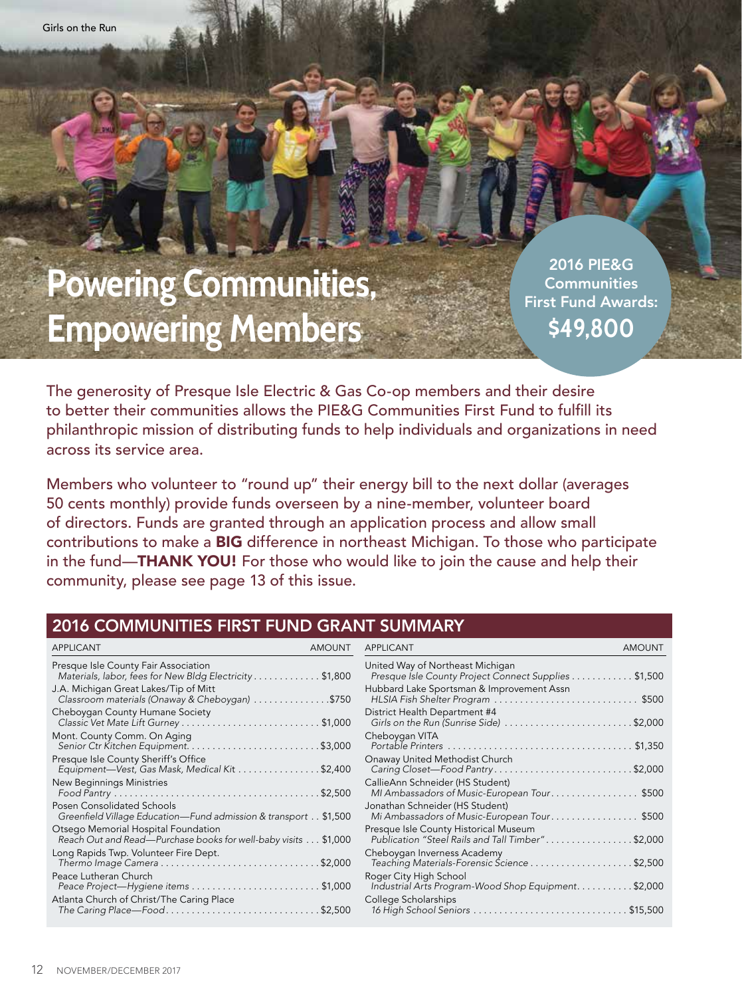# **Powering Communities, Empowering Members**

2016 PIE&G **Communities** First Fund Awards: **\$49,800** 

The generosity of Presque Isle Electric & Gas Co-op members and their desire to better their communities allows the PIE&G Communities First Fund to fulfill its philanthropic mission of distributing funds to help individuals and organizations in need across its service area.

Members who volunteer to "round up" their energy bill to the next dollar (averages 50 cents monthly) provide funds overseen by a nine-member, volunteer board of directors. Funds are granted through an application process and allow small contributions to make a BIG difference in northeast Michigan. To those who participate in the fund—**THANK YOU!** For those who would like to join the cause and help their community, please see page 13 of this issue.

#### 2016 COMMUNITIES FIRST FUND GRANT SUMMARY

| APPLICANT                                                                                             | <b>AMOUNT</b> | APPLICANT                                                                                 | <b>AMOUNT</b> |
|-------------------------------------------------------------------------------------------------------|---------------|-------------------------------------------------------------------------------------------|---------------|
| Presque Isle County Fair Association<br>Materials, labor, fees for New Bldg Electricity \$1,800       |               | United Way of Northeast Michigan<br>Presque Isle County Project Connect Supplies \$1,500  |               |
| J.A. Michigan Great Lakes/Tip of Mitt<br>Classroom materials (Onaway & Cheboygan) \$750               |               | Hubbard Lake Sportsman & Improvement Assn<br>HLSIA Fish Shelter Program \$500             |               |
| Cheboygan County Humane Society                                                                       |               | District Health Department #4<br>Girls on the Run (Sunrise Side)                          | $.$ \$2,000   |
| Mont. County Comm. On Aging                                                                           |               | Cheboygan VITA                                                                            | \$1,350       |
| Presque Isle County Sheriff's Office<br>Equipment-Vest, Gas Mask, Medical Kit \$2,400                 |               | Onaway United Methodist Church<br>Caring Closet-Food Pantry\$2,000                        |               |
| New Beginnings Ministries                                                                             |               | CallieAnn Schneider (HS Student)<br>MI Ambassadors of Music-European Tour\$500            |               |
| Posen Consolidated Schools<br>Greenfield Village Education-Fund admission & transport \$1,500         |               | Jonathan Schneider (HS Student)<br>Mi Ambassadors of Music-European Tour\$500             |               |
| Otsego Memorial Hospital Foundation<br>Reach Out and Read-Purchase books for well-baby visits \$1,000 |               | Presque Isle County Historical Museum<br>Publication "Steel Rails and Tall Timber"\$2,000 |               |
| Long Rapids Twp. Volunteer Fire Dept.<br>Thermo Image Camera \$2,000                                  |               | Cheboygan Inverness Academy<br>Teaching Materials-Forensic Ścience \$2,500                |               |
| Peace Lutheran Church<br>Peace Project-Hygiene items \$1,000                                          |               | Roger City High School<br>Industrial Arts Program-Wood Shop Equipment. \$2,000            |               |
| Atlanta Church of Christ/The Caring Place<br>The Caring Place—Food\$2,500                             |               | College Scholarships                                                                      |               |